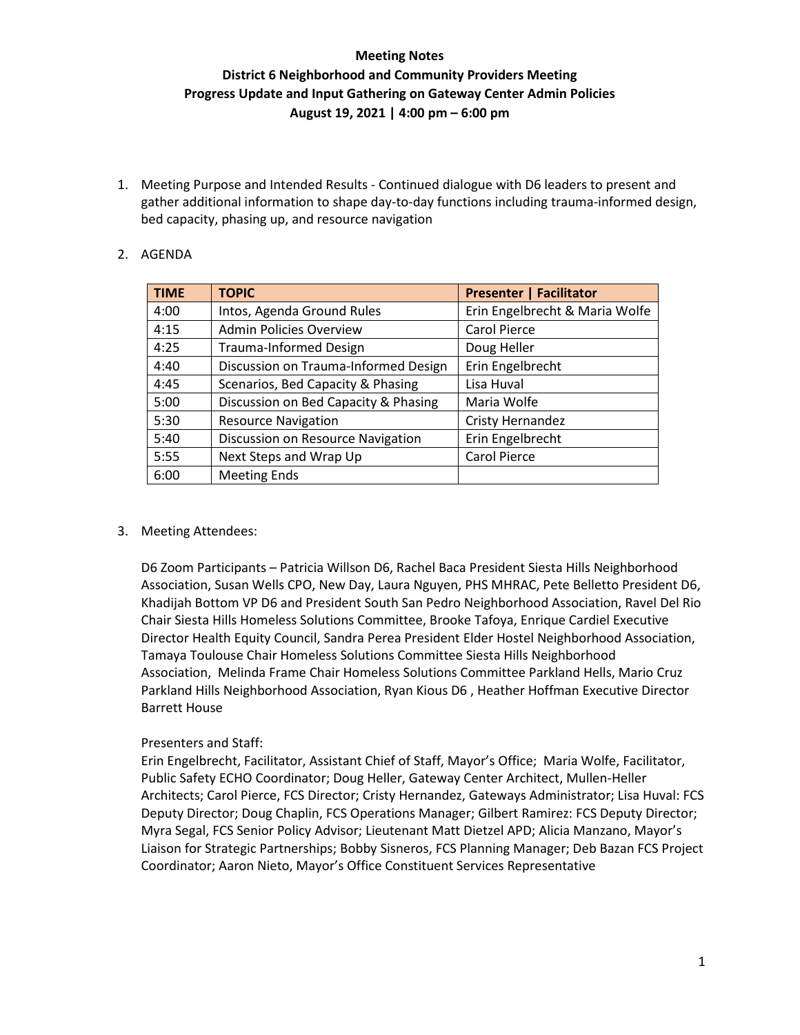1. Meeting Purpose and Intended Results - Continued dialogue with D6 leaders to present and gather additional information to shape day-to-day functions including trauma-informed design, bed capacity, phasing up, and resource navigation

#### 2. AGENDA

| <b>TIME</b> | <b>TOPIC</b>                         | <b>Presenter   Facilitator</b> |
|-------------|--------------------------------------|--------------------------------|
| 4:00        | Intos, Agenda Ground Rules           | Erin Engelbrecht & Maria Wolfe |
| 4:15        | <b>Admin Policies Overview</b>       | <b>Carol Pierce</b>            |
| 4:25        | <b>Trauma-Informed Design</b>        | Doug Heller                    |
| 4:40        | Discussion on Trauma-Informed Design | Erin Engelbrecht               |
| 4:45        | Scenarios, Bed Capacity & Phasing    | Lisa Huval                     |
| 5:00        | Discussion on Bed Capacity & Phasing | Maria Wolfe                    |
| 5:30        | <b>Resource Navigation</b>           | <b>Cristy Hernandez</b>        |
| 5:40        | Discussion on Resource Navigation    | Erin Engelbrecht               |
| 5:55        | Next Steps and Wrap Up               | <b>Carol Pierce</b>            |
| 6:00        | <b>Meeting Ends</b>                  |                                |

#### 3. Meeting Attendees:

D6 Zoom Participants – Patricia Willson D6, Rachel Baca President Siesta Hills Neighborhood Association, Susan Wells CPO, New Day, Laura Nguyen, PHS MHRAC, Pete Belletto President D6, Khadijah Bottom VP D6 and President South San Pedro Neighborhood Association, Ravel Del Rio Chair Siesta Hills Homeless Solutions Committee, Brooke Tafoya, Enrique Cardiel Executive Director Health Equity Council, Sandra Perea President Elder Hostel Neighborhood Association, Tamaya Toulouse Chair Homeless Solutions Committee Siesta Hills Neighborhood Association, Melinda Frame Chair Homeless Solutions Committee Parkland Hells, Mario Cruz Parkland Hills Neighborhood Association, Ryan Kious D6 , Heather Hoffman Executive Director Barrett House

#### Presenters and Staff:

Erin Engelbrecht, Facilitator, Assistant Chief of Staff, Mayor's Office; Maria Wolfe, Facilitator, Public Safety ECHO Coordinator; Doug Heller, Gateway Center Architect, Mullen-Heller Architects; Carol Pierce, FCS Director; Cristy Hernandez, Gateways Administrator; Lisa Huval: FCS Deputy Director; Doug Chaplin, FCS Operations Manager; Gilbert Ramirez: FCS Deputy Director; Myra Segal, FCS Senior Policy Advisor; Lieutenant Matt Dietzel APD; Alicia Manzano, Mayor's Liaison for Strategic Partnerships; Bobby Sisneros, FCS Planning Manager; Deb Bazan FCS Project Coordinator; Aaron Nieto, Mayor's Office Constituent Services Representative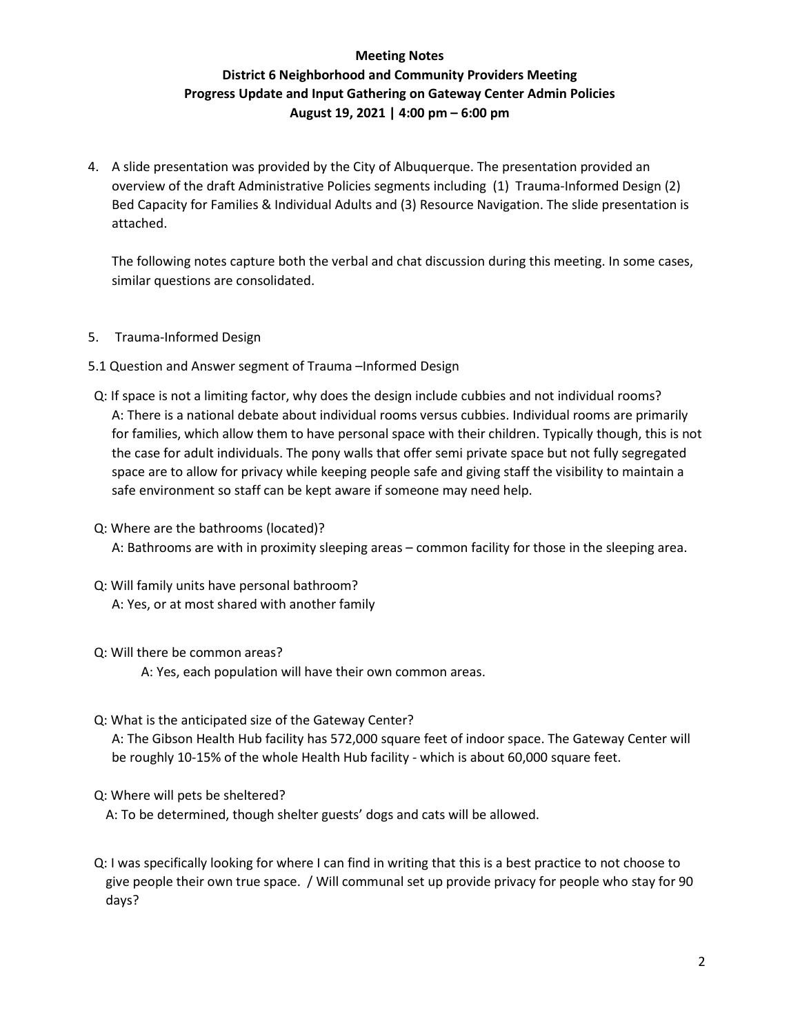4. A slide presentation was provided by the City of Albuquerque. The presentation provided an overview of the draft Administrative Policies segments including (1) Trauma-Informed Design (2) Bed Capacity for Families & Individual Adults and (3) Resource Navigation. The slide presentation is attached.

The following notes capture both the verbal and chat discussion during this meeting. In some cases, similar questions are consolidated.

- 5. Trauma-Informed Design
- 5.1 Question and Answer segment of Trauma –Informed Design
- Q: If space is not a limiting factor, why does the design include cubbies and not individual rooms? A: There is a national debate about individual rooms versus cubbies. Individual rooms are primarily for families, which allow them to have personal space with their children. Typically though, this is not the case for adult individuals. The pony walls that offer semi private space but not fully segregated space are to allow for privacy while keeping people safe and giving staff the visibility to maintain a safe environment so staff can be kept aware if someone may need help.
- Q: Where are the bathrooms (located)? A: Bathrooms are with in proximity sleeping areas – common facility for those in the sleeping area.
- Q: Will family units have personal bathroom? A: Yes, or at most shared with another family
- Q: Will there be common areas?

A: Yes, each population will have their own common areas.

Q: What is the anticipated size of the Gateway Center?

A: The Gibson Health Hub facility has 572,000 square feet of indoor space. The Gateway Center will be roughly 10-15% of the whole Health Hub facility - which is about 60,000 square feet.

Q: Where will pets be sheltered?

A: To be determined, though shelter guests' dogs and cats will be allowed.

Q: I was specifically looking for where I can find in writing that this is a best practice to not choose to give people their own true space. / Will communal set up provide privacy for people who stay for 90 days?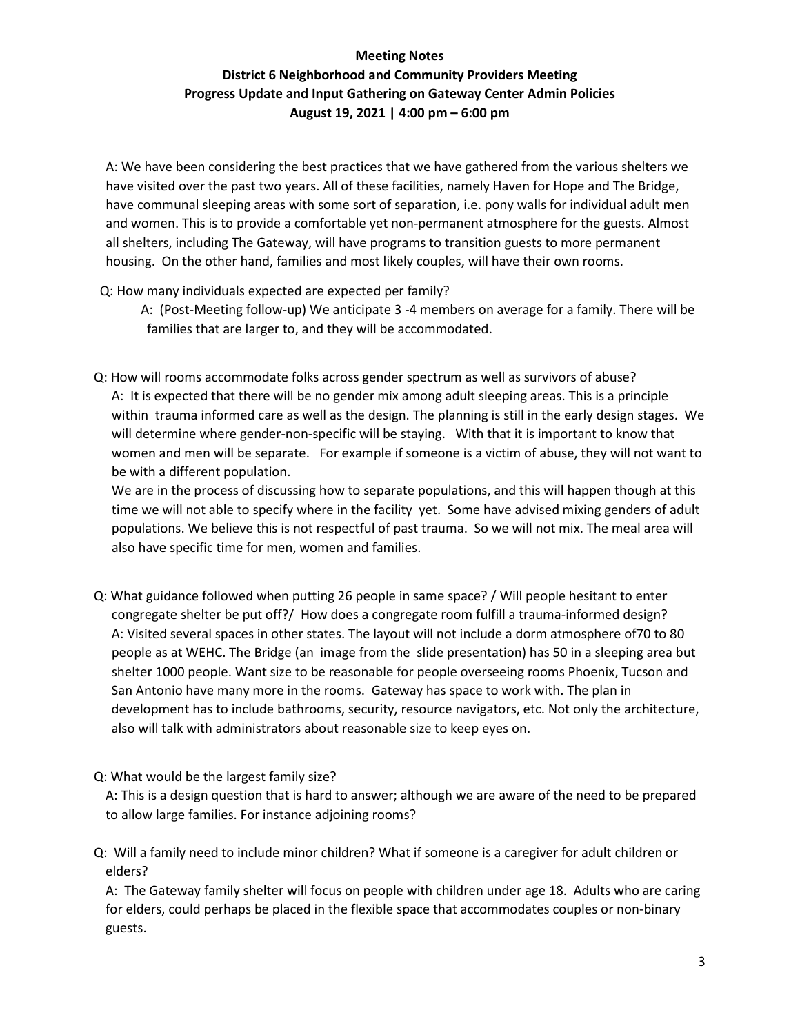A: We have been considering the best practices that we have gathered from the various shelters we have visited over the past two years. All of these facilities, namely Haven for Hope and The Bridge, have communal sleeping areas with some sort of separation, i.e. pony walls for individual adult men and women. This is to provide a comfortable yet non-permanent atmosphere for the guests. Almost all shelters, including The Gateway, will have programs to transition guests to more permanent housing. On the other hand, families and most likely couples, will have their own rooms.

- Q: How many individuals expected are expected per family?
	- A: (Post-Meeting follow-up) We anticipate 3 -4 members on average for a family. There will be families that are larger to, and they will be accommodated.
- Q: How will rooms accommodate folks across gender spectrum as well as survivors of abuse? A: It is expected that there will be no gender mix among adult sleeping areas. This is a principle within trauma informed care as well as the design. The planning is still in the early design stages. We will determine where gender-non-specific will be staying. With that it is important to know that women and men will be separate. For example if someone is a victim of abuse, they will not want to be with a different population.

We are in the process of discussing how to separate populations, and this will happen though at this time we will not able to specify where in the facility yet. Some have advised mixing genders of adult populations. We believe this is not respectful of past trauma. So we will not mix. The meal area will also have specific time for men, women and families.

- Q: What guidance followed when putting 26 people in same space? / Will people hesitant to enter congregate shelter be put off?/ How does a congregate room fulfill a trauma-informed design? A: Visited several spaces in other states. The layout will not include a dorm atmosphere of70 to 80 people as at WEHC. The Bridge (an image from the slide presentation) has 50 in a sleeping area but shelter 1000 people. Want size to be reasonable for people overseeing rooms Phoenix, Tucson and San Antonio have many more in the rooms. Gateway has space to work with. The plan in development has to include bathrooms, security, resource navigators, etc. Not only the architecture, also will talk with administrators about reasonable size to keep eyes on.
- Q: What would be the largest family size?

A: This is a design question that is hard to answer; although we are aware of the need to be prepared to allow large families. For instance adjoining rooms?

Q: Will a family need to include minor children? What if someone is a caregiver for adult children or elders?

A: The Gateway family shelter will focus on people with children under age 18. Adults who are caring for elders, could perhaps be placed in the flexible space that accommodates couples or non-binary guests.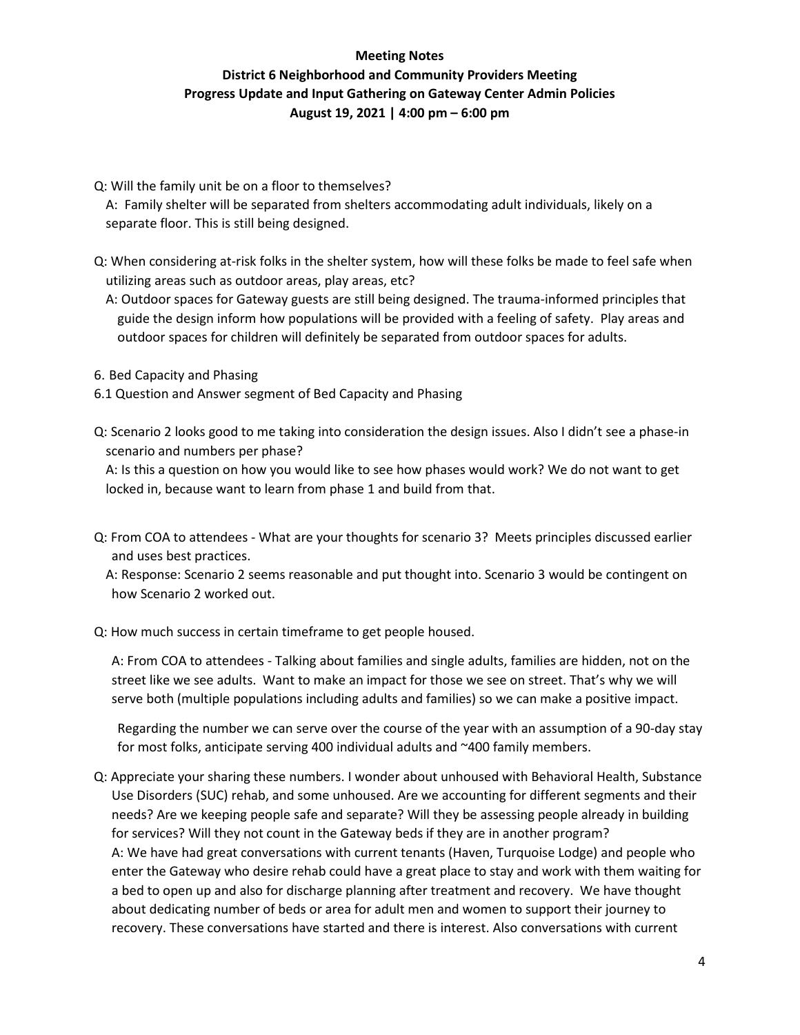Q: Will the family unit be on a floor to themselves?

A: Family shelter will be separated from shelters accommodating adult individuals, likely on a separate floor. This is still being designed.

- Q: When considering at-risk folks in the shelter system, how will these folks be made to feel safe when utilizing areas such as outdoor areas, play areas, etc?
	- A: Outdoor spaces for Gateway guests are still being designed. The trauma-informed principles that guide the design inform how populations will be provided with a feeling of safety. Play areas and outdoor spaces for children will definitely be separated from outdoor spaces for adults.
- 6. Bed Capacity and Phasing
- 6.1 Question and Answer segment of Bed Capacity and Phasing
- Q: Scenario 2 looks good to me taking into consideration the design issues. Also I didn't see a phase-in scenario and numbers per phase?

A: Is this a question on how you would like to see how phases would work? We do not want to get locked in, because want to learn from phase 1 and build from that.

Q: From COA to attendees - What are your thoughts for scenario 3? Meets principles discussed earlier and uses best practices.

A: Response: Scenario 2 seems reasonable and put thought into. Scenario 3 would be contingent on how Scenario 2 worked out.

Q: How much success in certain timeframe to get people housed.

A: From COA to attendees - Talking about families and single adults, families are hidden, not on the street like we see adults. Want to make an impact for those we see on street. That's why we will serve both (multiple populations including adults and families) so we can make a positive impact.

Regarding the number we can serve over the course of the year with an assumption of a 90-day stay for most folks, anticipate serving 400 individual adults and ~400 family members.

Q: Appreciate your sharing these numbers. I wonder about unhoused with Behavioral Health, Substance Use Disorders (SUC) rehab, and some unhoused. Are we accounting for different segments and their needs? Are we keeping people safe and separate? Will they be assessing people already in building for services? Will they not count in the Gateway beds if they are in another program? A: We have had great conversations with current tenants (Haven, Turquoise Lodge) and people who enter the Gateway who desire rehab could have a great place to stay and work with them waiting for a bed to open up and also for discharge planning after treatment and recovery. We have thought about dedicating number of beds or area for adult men and women to support their journey to recovery. These conversations have started and there is interest. Also conversations with current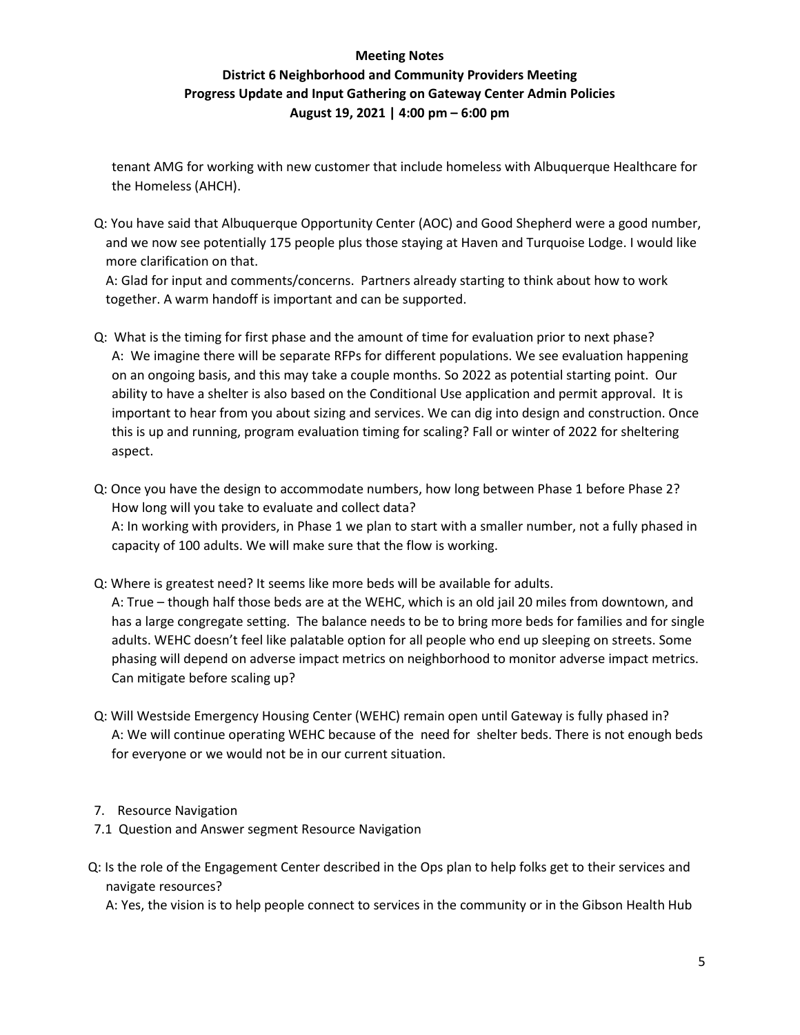tenant AMG for working with new customer that include homeless with Albuquerque Healthcare for the Homeless (AHCH).

Q: You have said that Albuquerque Opportunity Center (AOC) and Good Shepherd were a good number, and we now see potentially 175 people plus those staying at Haven and Turquoise Lodge. I would like more clarification on that.

A: Glad for input and comments/concerns. Partners already starting to think about how to work together. A warm handoff is important and can be supported.

- Q: What is the timing for first phase and the amount of time for evaluation prior to next phase? A: We imagine there will be separate RFPs for different populations. We see evaluation happening on an ongoing basis, and this may take a couple months. So 2022 as potential starting point. Our ability to have a shelter is also based on the Conditional Use application and permit approval. It is important to hear from you about sizing and services. We can dig into design and construction. Once this is up and running, program evaluation timing for scaling? Fall or winter of 2022 for sheltering aspect.
- Q: Once you have the design to accommodate numbers, how long between Phase 1 before Phase 2? How long will you take to evaluate and collect data? A: In working with providers, in Phase 1 we plan to start with a smaller number, not a fully phased in capacity of 100 adults. We will make sure that the flow is working.
- Q: Where is greatest need? It seems like more beds will be available for adults. A: True – though half those beds are at the WEHC, which is an old jail 20 miles from downtown, and has a large congregate setting. The balance needs to be to bring more beds for families and for single adults. WEHC doesn't feel like palatable option for all people who end up sleeping on streets. Some phasing will depend on adverse impact metrics on neighborhood to monitor adverse impact metrics. Can mitigate before scaling up?
- Q: Will Westside Emergency Housing Center (WEHC) remain open until Gateway is fully phased in? A: We will continue operating WEHC because of the need for shelter beds. There is not enough beds for everyone or we would not be in our current situation.
- 7. Resource Navigation
- 7.1 Question and Answer segment Resource Navigation
- Q: Is the role of the Engagement Center described in the Ops plan to help folks get to their services and navigate resources?

A: Yes, the vision is to help people connect to services in the community or in the Gibson Health Hub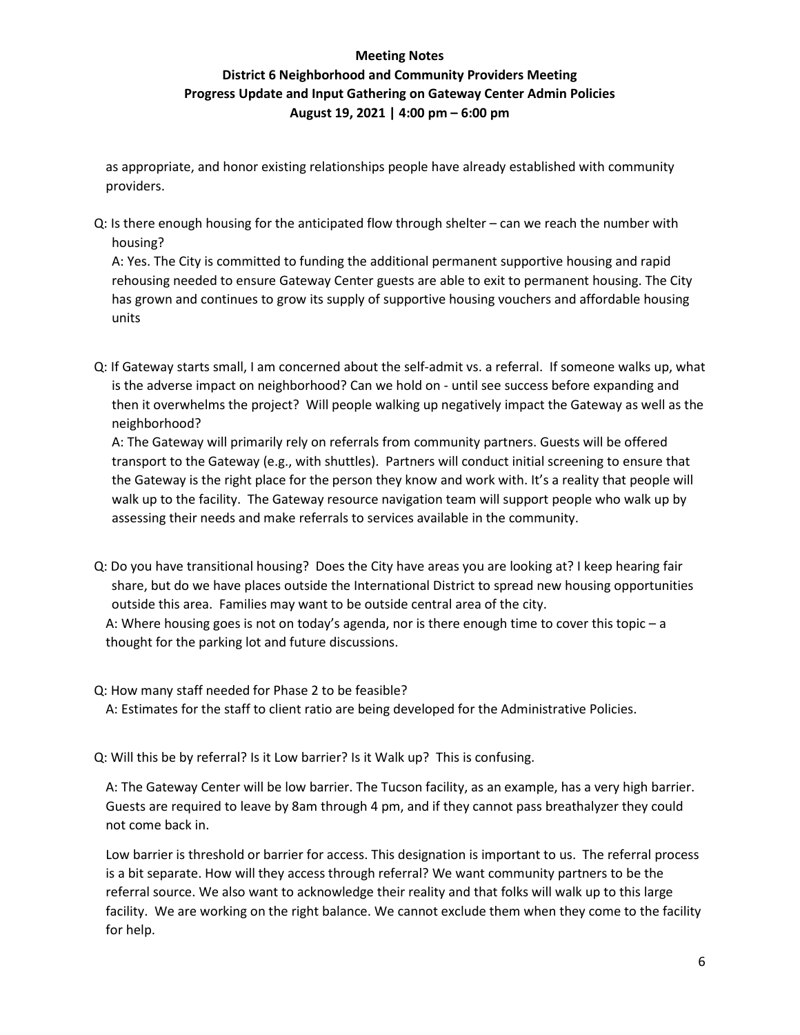#### **Meeting Notes**

# **District 6 Neighborhood and Community Providers Meeting Progress Update and Input Gathering on Gateway Center Admin Policies August 19, 2021 | 4:00 pm – 6:00 pm**

as appropriate, and honor existing relationships people have already established with community providers.

Q: Is there enough housing for the anticipated flow through shelter – can we reach the number with housing?

A: Yes. The City is committed to funding the additional permanent supportive housing and rapid rehousing needed to ensure Gateway Center guests are able to exit to permanent housing. The City has grown and continues to grow its supply of supportive housing vouchers and affordable housing units

Q: If Gateway starts small, I am concerned about the self-admit vs. a referral. If someone walks up, what is the adverse impact on neighborhood? Can we hold on - until see success before expanding and then it overwhelms the project? Will people walking up negatively impact the Gateway as well as the neighborhood?

A: The Gateway will primarily rely on referrals from community partners. Guests will be offered transport to the Gateway (e.g., with shuttles). Partners will conduct initial screening to ensure that the Gateway is the right place for the person they know and work with. It's a reality that people will walk up to the facility. The Gateway resource navigation team will support people who walk up by assessing their needs and make referrals to services available in the community.

Q: Do you have transitional housing? Does the City have areas you are looking at? I keep hearing fair share, but do we have places outside the International District to spread new housing opportunities outside this area. Families may want to be outside central area of the city.

A: Where housing goes is not on today's agenda, nor is there enough time to cover this topic – a thought for the parking lot and future discussions.

Q: How many staff needed for Phase 2 to be feasible?

A: Estimates for the staff to client ratio are being developed for the Administrative Policies.

Q: Will this be by referral? Is it Low barrier? Is it Walk up? This is confusing.

A: The Gateway Center will be low barrier. The Tucson facility, as an example, has a very high barrier. Guests are required to leave by 8am through 4 pm, and if they cannot pass breathalyzer they could not come back in.

Low barrier is threshold or barrier for access. This designation is important to us. The referral process is a bit separate. How will they access through referral? We want community partners to be the referral source. We also want to acknowledge their reality and that folks will walk up to this large facility. We are working on the right balance. We cannot exclude them when they come to the facility for help.